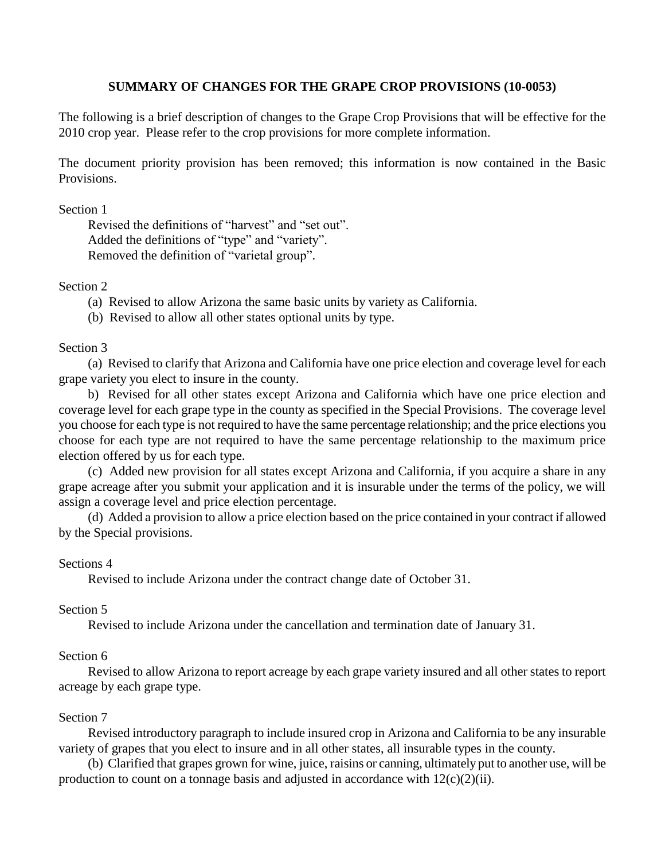# **SUMMARY OF CHANGES FOR THE GRAPE CROP PROVISIONS (10-0053)**

The following is a brief description of changes to the Grape Crop Provisions that will be effective for the 2010 crop year. Please refer to the crop provisions for more complete information.

The document priority provision has been removed; this information is now contained in the Basic Provisions.

Section 1

Revised the definitions of "harvest" and "set out". Added the definitions of "type" and "variety". Removed the definition of "varietal group".

Section 2

(a) Revised to allow Arizona the same basic units by variety as California.

(b) Revised to allow all other states optional units by type.

# Section 3

(a) Revised to clarify that Arizona and California have one price election and coverage level for each grape variety you elect to insure in the county.

b) Revised for all other states except Arizona and California which have one price election and coverage level for each grape type in the county as specified in the Special Provisions. The coverage level you choose for each type is not required to have the same percentage relationship; and the price elections you choose for each type are not required to have the same percentage relationship to the maximum price election offered by us for each type.

(c) Added new provision for all states except Arizona and California, if you acquire a share in any grape acreage after you submit your application and it is insurable under the terms of the policy, we will assign a coverage level and price election percentage.

(d) Added a provision to allow a price election based on the price contained in your contract if allowed by the Special provisions.

# Sections 4

Revised to include Arizona under the contract change date of October 31.

# Section 5

Revised to include Arizona under the cancellation and termination date of January 31.

# Section 6

Revised to allow Arizona to report acreage by each grape variety insured and all other states to report acreage by each grape type.

# Section 7

Revised introductory paragraph to include insured crop in Arizona and California to be any insurable variety of grapes that you elect to insure and in all other states, all insurable types in the county.

(b) Clarified that grapes grown for wine, juice, raisins or canning, ultimately put to another use, will be production to count on a tonnage basis and adjusted in accordance with  $12(c)(2)(ii)$ .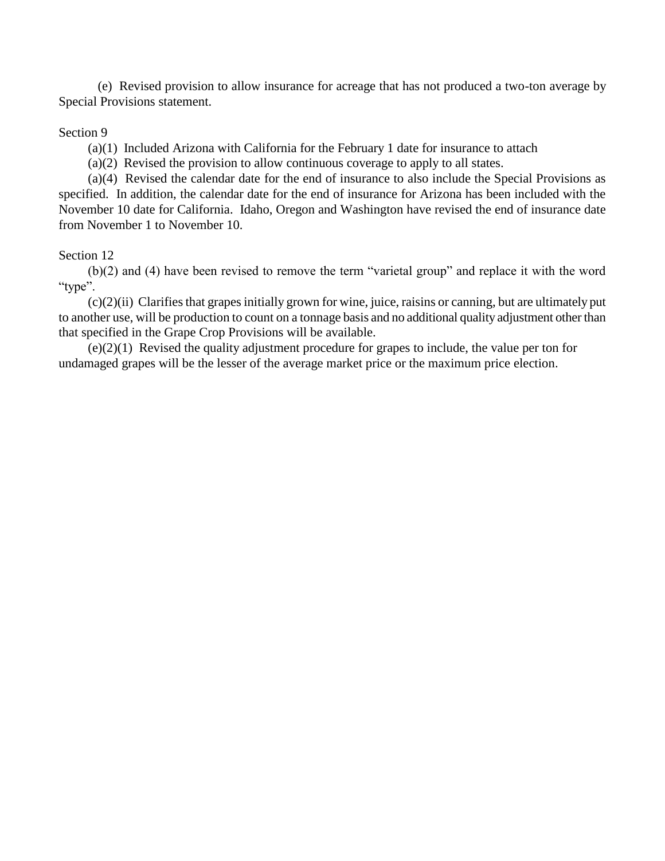(e) Revised provision to allow insurance for acreage that has not produced a two-ton average by Special Provisions statement.

## Section 9

(a)(1) Included Arizona with California for the February 1 date for insurance to attach

(a)(2) Revised the provision to allow continuous coverage to apply to all states.

(a)(4) Revised the calendar date for the end of insurance to also include the Special Provisions as specified. In addition, the calendar date for the end of insurance for Arizona has been included with the November 10 date for California. Idaho, Oregon and Washington have revised the end of insurance date from November 1 to November 10.

# Section 12

(b)(2) and (4) have been revised to remove the term "varietal group" and replace it with the word "type".

(c)(2)(ii) Clarifies that grapes initially grown for wine, juice, raisins or canning, but are ultimately put to another use, will be production to count on a tonnage basis and no additional quality adjustment other than that specified in the Grape Crop Provisions will be available.

(e)(2)(1) Revised the quality adjustment procedure for grapes to include, the value per ton for undamaged grapes will be the lesser of the average market price or the maximum price election.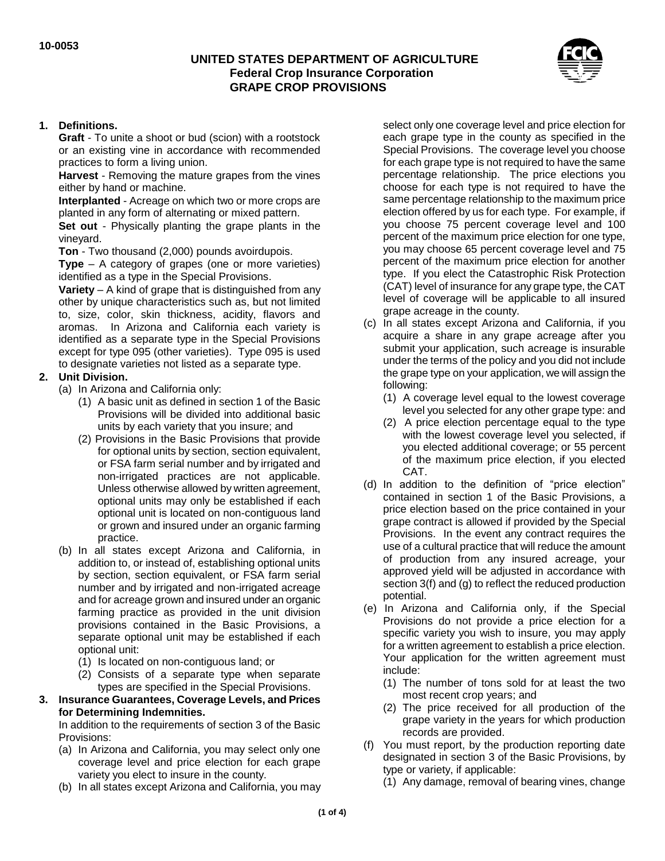## **UNITED STATES DEPARTMENT OF AGRICULTURE Federal Crop Insurance Corporation GRAPE CROP PROVISIONS**



#### **1. Definitions.**

**Graft** - To unite a shoot or bud (scion) with a rootstock or an existing vine in accordance with recommended practices to form a living union.

**Harvest** - Removing the mature grapes from the vines either by hand or machine.

**Interplanted** - Acreage on which two or more crops are planted in any form of alternating or mixed pattern.

**Set out** - Physically planting the grape plants in the vineyard.

**Ton** - Two thousand (2,000) pounds avoirdupois.

**Type** – A category of grapes (one or more varieties) identified as a type in the Special Provisions.

**Variety** – A kind of grape that is distinguished from any other by unique characteristics such as, but not limited to, size, color, skin thickness, acidity, flavors and aromas. In Arizona and California each variety is identified as a separate type in the Special Provisions except for type 095 (other varieties). Type 095 is used to designate varieties not listed as a separate type.

#### **2. Unit Division.**

- (a) In Arizona and California only:
	- (1) A basic unit as defined in section 1 of the Basic Provisions will be divided into additional basic units by each variety that you insure; and
	- (2) Provisions in the Basic Provisions that provide for optional units by section, section equivalent, or FSA farm serial number and by irrigated and non-irrigated practices are not applicable. Unless otherwise allowed by written agreement, optional units may only be established if each optional unit is located on non-contiguous land or grown and insured under an organic farming practice.
- (b) In all states except Arizona and California, in addition to, or instead of, establishing optional units by section, section equivalent, or FSA farm serial number and by irrigated and non-irrigated acreage and for acreage grown and insured under an organic farming practice as provided in the unit division provisions contained in the Basic Provisions, a separate optional unit may be established if each optional unit:
	- (1) Is located on non-contiguous land; or
	- (2) Consists of a separate type when separate types are specified in the Special Provisions.
- **3. Insurance Guarantees, Coverage Levels, and Prices for Determining Indemnities.**

In addition to the requirements of section 3 of the Basic Provisions:

- (a) In Arizona and California, you may select only one coverage level and price election for each grape variety you elect to insure in the county.
- (b) In all states except Arizona and California, you may

select only one coverage level and price election for each grape type in the county as specified in the Special Provisions. The coverage level you choose for each grape type is not required to have the same percentage relationship. The price elections you choose for each type is not required to have the same percentage relationship to the maximum price election offered by us for each type. For example, if you choose 75 percent coverage level and 100 percent of the maximum price election for one type, you may choose 65 percent coverage level and 75 percent of the maximum price election for another type. If you elect the Catastrophic Risk Protection (CAT) level of insurance for any grape type, the CAT level of coverage will be applicable to all insured grape acreage in the county.

- (c) In all states except Arizona and California, if you acquire a share in any grape acreage after you submit your application, such acreage is insurable under the terms of the policy and you did not include the grape type on your application, we will assign the following:
	- (1) A coverage level equal to the lowest coverage level you selected for any other grape type: and
	- (2) A price election percentage equal to the type with the lowest coverage level you selected, if you elected additional coverage; or 55 percent of the maximum price election, if you elected CAT.
- (d) In addition to the definition of "price election" contained in section 1 of the Basic Provisions, a price election based on the price contained in your grape contract is allowed if provided by the Special Provisions. In the event any contract requires the use of a cultural practice that will reduce the amount of production from any insured acreage, your approved yield will be adjusted in accordance with section 3(f) and (g) to reflect the reduced production potential.
- (e) In Arizona and California only, if the Special Provisions do not provide a price election for a specific variety you wish to insure, you may apply for a written agreement to establish a price election. Your application for the written agreement must include:
	- (1) The number of tons sold for at least the two most recent crop years; and
	- (2) The price received for all production of the grape variety in the years for which production records are provided.
- (f) You must report, by the production reporting date designated in section 3 of the Basic Provisions, by type or variety, if applicable:
	- (1) Any damage, removal of bearing vines, change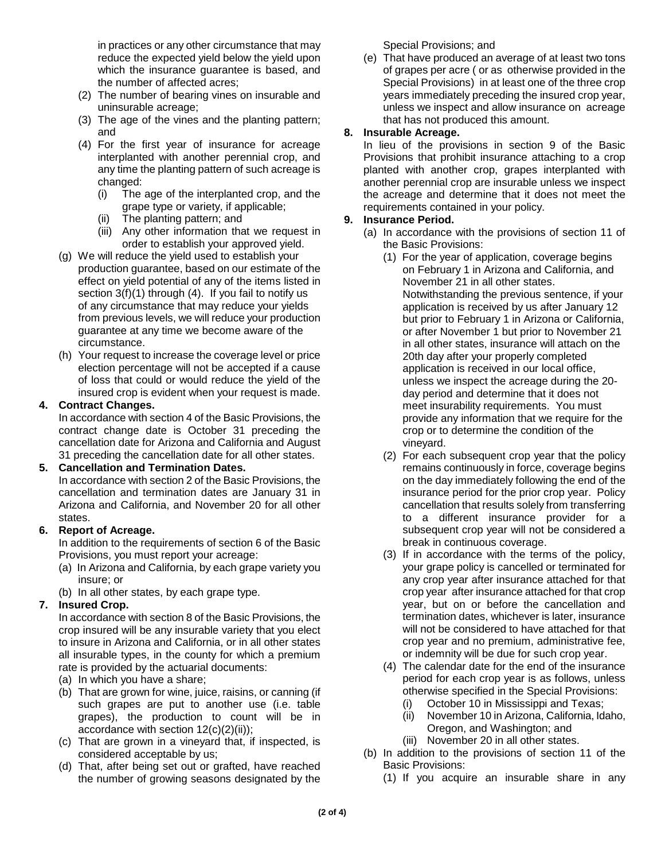in practices or any other circumstance that may reduce the expected yield below the yield upon which the insurance guarantee is based, and the number of affected acres;

- (2) The number of bearing vines on insurable and uninsurable acreage;
- (3) The age of the vines and the planting pattern; and
- (4) For the first year of insurance for acreage interplanted with another perennial crop, and any time the planting pattern of such acreage is changed:
	- (i) The age of the interplanted crop, and the grape type or variety, if applicable;
	- (ii) The planting pattern; and
	- (iii) Any other information that we request in order to establish your approved yield.
- (g) We will reduce the yield used to establish your production guarantee, based on our estimate of the effect on yield potential of any of the items listed in section 3(f)(1) through (4). If you fail to notify us of any circumstance that may reduce your yields from previous levels, we will reduce your production guarantee at any time we become aware of the circumstance.
- (h) Your request to increase the coverage level or price election percentage will not be accepted if a cause of loss that could or would reduce the yield of the insured crop is evident when your request is made.

#### **4. Contract Changes.**

In accordance with section 4 of the Basic Provisions, the contract change date is October 31 preceding the cancellation date for Arizona and California and August 31 preceding the cancellation date for all other states.

#### **5. Cancellation and Termination Dates.**

In accordance with section 2 of the Basic Provisions, the cancellation and termination dates are January 31 in Arizona and California, and November 20 for all other states.

#### **6. Report of Acreage.**

In addition to the requirements of section 6 of the Basic Provisions, you must report your acreage:

- (a) In Arizona and California, by each grape variety you insure; or
- (b) In all other states, by each grape type.

#### **7. Insured Crop.**

In accordance with section 8 of the Basic Provisions, the crop insured will be any insurable variety that you elect to insure in Arizona and California, or in all other states all insurable types, in the county for which a premium rate is provided by the actuarial documents:

- (a) In which you have a share;
- (b) That are grown for wine, juice, raisins, or canning (if such grapes are put to another use (i.e. table grapes), the production to count will be in accordance with section  $12(c)(2)(ii)$ ;
- (c) That are grown in a vineyard that, if inspected, is considered acceptable by us;
- (d) That, after being set out or grafted, have reached the number of growing seasons designated by the

Special Provisions; and

(e) That have produced an average of at least two tons of grapes per acre ( or as otherwise provided in the Special Provisions) in at least one of the three crop years immediately preceding the insured crop year, unless we inspect and allow insurance on acreage that has not produced this amount.

## **8. Insurable Acreage.**

In lieu of the provisions in section 9 of the Basic Provisions that prohibit insurance attaching to a crop planted with another crop, grapes interplanted with another perennial crop are insurable unless we inspect the acreage and determine that it does not meet the requirements contained in your policy.

#### **9. Insurance Period.**

- (a) In accordance with the provisions of section 11 of the Basic Provisions:
	- (1) For the year of application, coverage begins on February 1 in Arizona and California, and November 21 in all other states. Notwithstanding the previous sentence, if your application is received by us after January 12 but prior to February 1 in Arizona or California, or after November 1 but prior to November 21 in all other states, insurance will attach on the 20th day after your properly completed application is received in our local office, unless we inspect the acreage during the 20 day period and determine that it does not meet insurability requirements. You must provide any information that we require for the crop or to determine the condition of the vineyard.
	- (2) For each subsequent crop year that the policy remains continuously in force, coverage begins on the day immediately following the end of the insurance period for the prior crop year. Policy cancellation that results solely from transferring to a different insurance provider for a subsequent crop year will not be considered a break in continuous coverage.
	- (3) If in accordance with the terms of the policy, your grape policy is cancelled or terminated for any crop year after insurance attached for that crop year after insurance attached for that crop year, but on or before the cancellation and termination dates, whichever is later, insurance will not be considered to have attached for that crop year and no premium, administrative fee, or indemnity will be due for such crop year.
	- (4) The calendar date for the end of the insurance period for each crop year is as follows, unless otherwise specified in the Special Provisions:
		- (i) October 10 in Mississippi and Texas;
		- (ii) November 10 in Arizona, California, Idaho, Oregon, and Washington; and
		- (iii) November 20 in all other states.
- (b) In addition to the provisions of section 11 of the Basic Provisions:
	- (1) If you acquire an insurable share in any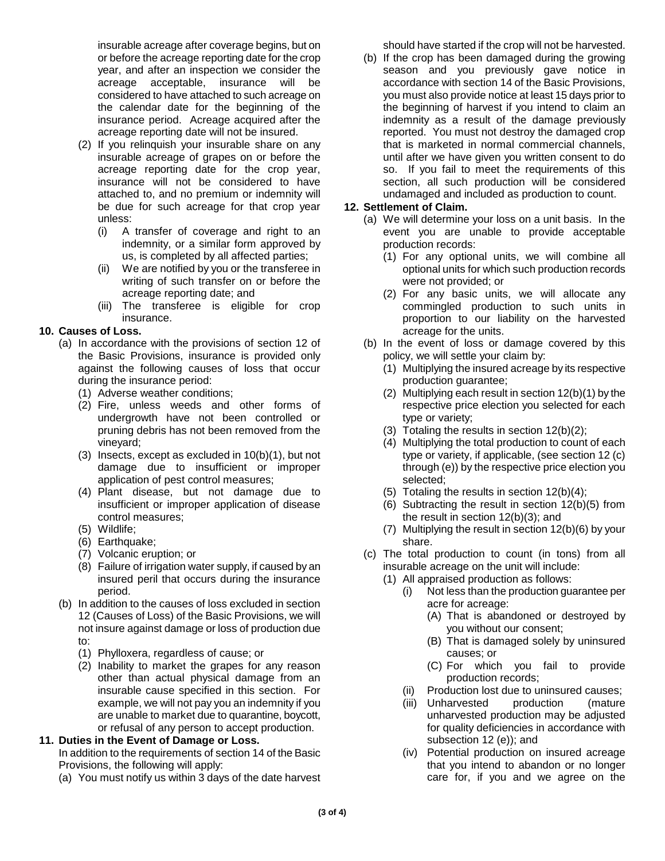insurable acreage after coverage begins, but on or before the acreage reporting date for the crop year, and after an inspection we consider the acreage acceptable, insurance will be considered to have attached to such acreage on the calendar date for the beginning of the insurance period. Acreage acquired after the acreage reporting date will not be insured.

- (2) If you relinquish your insurable share on any insurable acreage of grapes on or before the acreage reporting date for the crop year, insurance will not be considered to have attached to, and no premium or indemnity will be due for such acreage for that crop year unless:
	- (i) A transfer of coverage and right to an indemnity, or a similar form approved by us, is completed by all affected parties;
	- (ii) We are notified by you or the transferee in writing of such transfer on or before the acreage reporting date; and
	- (iii) The transferee is eligible for crop insurance.

## **10. Causes of Loss.**

- (a) In accordance with the provisions of section 12 of the Basic Provisions, insurance is provided only against the following causes of loss that occur during the insurance period:
	- (1) Adverse weather conditions;
	- (2) Fire, unless weeds and other forms of undergrowth have not been controlled or pruning debris has not been removed from the vineyard;
	- (3) Insects, except as excluded in 10(b)(1), but not damage due to insufficient or improper application of pest control measures;
	- (4) Plant disease, but not damage due to insufficient or improper application of disease control measures;
	- (5) Wildlife;
	- (6) Earthquake;
	- (7) Volcanic eruption; or
	- (8) Failure of irrigation water supply, if caused by an insured peril that occurs during the insurance period.
- (b) In addition to the causes of loss excluded in section 12 (Causes of Loss) of the Basic Provisions, we will not insure against damage or loss of production due to:
	- (1) Phylloxera, regardless of cause; or
	- (2) Inability to market the grapes for any reason other than actual physical damage from an insurable cause specified in this section. For example, we will not pay you an indemnity if you are unable to market due to quarantine, boycott, or refusal of any person to accept production.

#### **11. Duties in the Event of Damage or Loss.**

In addition to the requirements of section 14 of the Basic Provisions, the following will apply:

(a) You must notify us within 3 days of the date harvest

should have started if the crop will not be harvested.

(b) If the crop has been damaged during the growing season and you previously gave notice in accordance with section 14 of the Basic Provisions, you must also provide notice at least 15 days prior to the beginning of harvest if you intend to claim an indemnity as a result of the damage previously reported. You must not destroy the damaged crop that is marketed in normal commercial channels, until after we have given you written consent to do so. If you fail to meet the requirements of this section, all such production will be considered undamaged and included as production to count.

#### **12. Settlement of Claim.**

- (a) We will determine your loss on a unit basis. In the event you are unable to provide acceptable production records:
	- (1) For any optional units, we will combine all optional units for which such production records were not provided; or
	- (2) For any basic units, we will allocate any commingled production to such units in proportion to our liability on the harvested acreage for the units.
- (b) In the event of loss or damage covered by this policy, we will settle your claim by:
	- (1) Multiplying the insured acreage by its respective production guarantee;
	- (2) Multiplying each result in section 12(b)(1) by the respective price election you selected for each type or variety;
	- (3) Totaling the results in section 12(b)(2);
	- (4) Multiplying the total production to count of each type or variety, if applicable, (see section 12 (c) through (e)) by the respective price election you selected;
	- (5) Totaling the results in section 12(b)(4);
	- (6) Subtracting the result in section 12(b)(5) from the result in section 12(b)(3); and
	- (7) Multiplying the result in section 12(b)(6) by your share.
- (c) The total production to count (in tons) from all insurable acreage on the unit will include:
	- (1) All appraised production as follows:
		- (i) Not less than the production guarantee per acre for acreage:
			- (A) That is abandoned or destroyed by you without our consent;
			- (B) That is damaged solely by uninsured causes; or
			- (C) For which you fail to provide production records;
		- (ii) Production lost due to uninsured causes;
		- (iii) Unharvested production (mature unharvested production may be adjusted for quality deficiencies in accordance with subsection 12 (e)); and
		- (iv) Potential production on insured acreage that you intend to abandon or no longer care for, if you and we agree on the